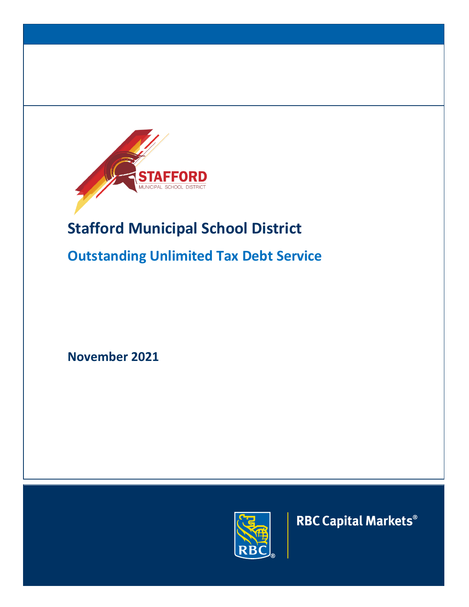

# **Stafford Municipal School District**

# **Outstanding Unlimited Tax Debt Service**

**November 2021**



**RBC Capital Markets®**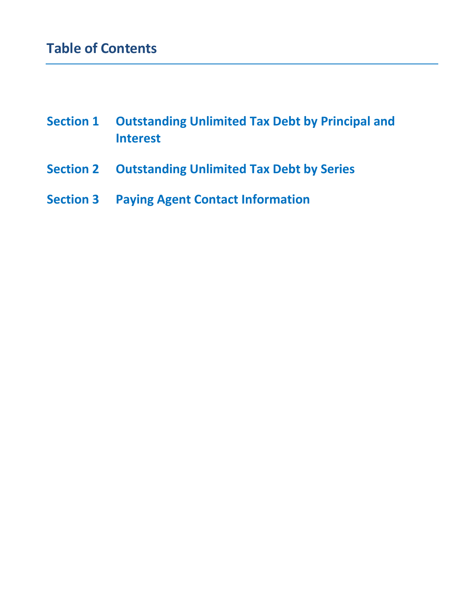| <b>Section 1</b> | <b>Outstanding Unlimited Tax Debt by Principal and</b> |
|------------------|--------------------------------------------------------|
|                  | <b>Interest</b>                                        |

- **Section 2 Outstanding Unlimited Tax Debt by Series**
- **Section 3 Paying Agent Contact Information**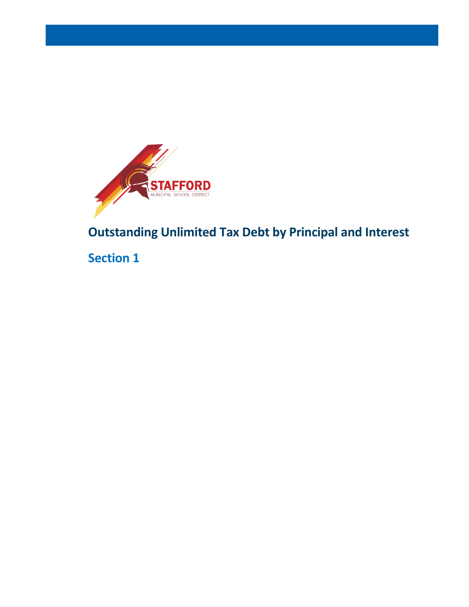

**Outstanding Unlimited Tax Debt by Principal and Interest**

**Section 1**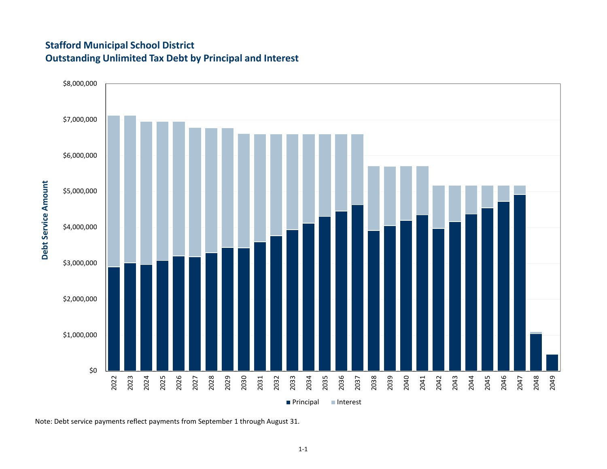# **Stafford Municipal School District Outstanding Unlimited Tax Debt by Principal and Interest**



Note: Debt service payments reflect payments from September 1 through August 31.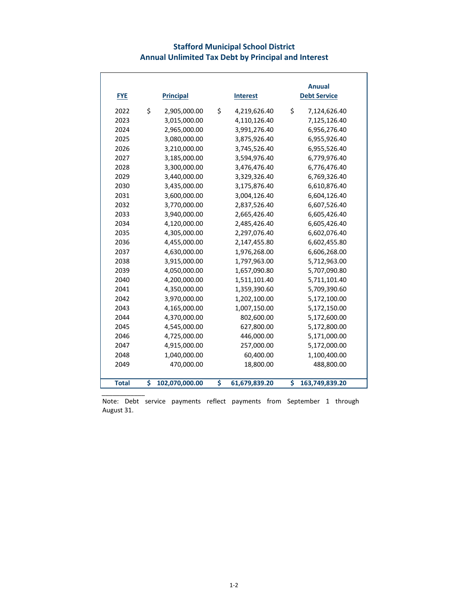## **Stafford Municipal School District Annual Unlimited Tax Debt by Principal and Interest**

| <b>FYE</b>   | <b>Principal</b>     | <b>Interest</b>     | <b>Anuual</b><br><b>Debt Service</b> |  |
|--------------|----------------------|---------------------|--------------------------------------|--|
| 2022         | \$<br>2,905,000.00   | \$<br>4,219,626.40  | \$<br>7,124,626.40                   |  |
| 2023         | 3,015,000.00         | 4,110,126.40        | 7,125,126.40                         |  |
| 2024         | 2,965,000.00         | 3,991,276.40        | 6,956,276.40                         |  |
| 2025         | 3,080,000.00         | 3,875,926.40        | 6,955,926.40                         |  |
| 2026         | 3,210,000.00         | 3,745,526.40        | 6,955,526.40                         |  |
| 2027         | 3,185,000.00         | 3,594,976.40        | 6,779,976.40                         |  |
| 2028         | 3,300,000.00         | 3,476,476.40        | 6,776,476.40                         |  |
| 2029         | 3,440,000.00         | 3,329,326.40        | 6,769,326.40                         |  |
| 2030         | 3,435,000.00         | 3,175,876.40        | 6,610,876.40                         |  |
| 2031         | 3,600,000.00         | 3,004,126.40        | 6,604,126.40                         |  |
| 2032         | 3,770,000.00         | 2,837,526.40        | 6,607,526.40                         |  |
| 2033         | 3,940,000.00         | 2,665,426.40        | 6,605,426.40                         |  |
| 2034         | 4,120,000.00         | 2,485,426.40        | 6,605,426.40                         |  |
| 2035         | 4,305,000.00         | 2,297,076.40        | 6,602,076.40                         |  |
| 2036         | 4,455,000.00         | 2,147,455.80        | 6,602,455.80                         |  |
| 2037         | 4,630,000.00         | 1,976,268.00        | 6,606,268.00                         |  |
| 2038         | 3,915,000.00         | 1,797,963.00        | 5,712,963.00                         |  |
| 2039         | 4,050,000.00         | 1,657,090.80        | 5,707,090.80                         |  |
| 2040         | 4,200,000.00         | 1,511,101.40        | 5,711,101.40                         |  |
| 2041         | 4,350,000.00         | 1,359,390.60        | 5,709,390.60                         |  |
| 2042         | 3,970,000.00         | 1,202,100.00        | 5,172,100.00                         |  |
| 2043         | 4,165,000.00         | 1,007,150.00        | 5,172,150.00                         |  |
| 2044         | 4,370,000.00         | 802,600.00          | 5,172,600.00                         |  |
| 2045         | 4,545,000.00         | 627,800.00          | 5,172,800.00                         |  |
| 2046         | 4,725,000.00         | 446,000.00          | 5,171,000.00                         |  |
| 2047         | 4,915,000.00         | 257,000.00          | 5,172,000.00                         |  |
| 2048         | 1,040,000.00         | 60,400.00           | 1,100,400.00                         |  |
| 2049         | 470,000.00           | 18,800.00           | 488,800.00                           |  |
|              |                      |                     |                                      |  |
| <b>Total</b> | \$<br>102,070,000.00 | \$<br>61,679,839.20 | \$<br>163,749,839.20                 |  |

Note: Debt service payments reflect payments from September 1 through August 31.

\_\_\_\_\_\_\_\_\_\_\_\_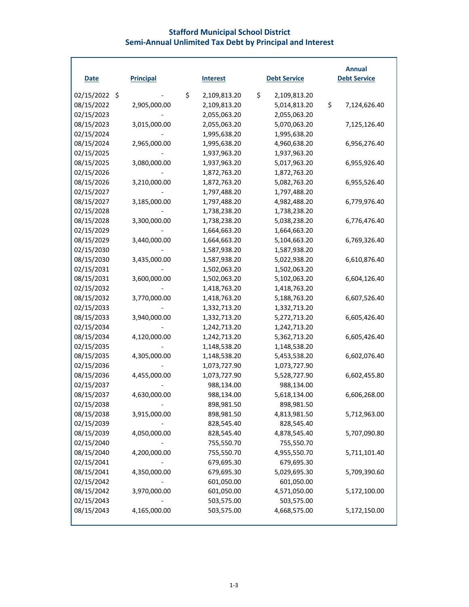#### **Stafford Municipal School District Semi-Annual Unlimited Tax Debt by Principal and Interest**

| <b>Date</b>   | <b>Principal</b> | <b>Interest</b>    | <b>Debt Service</b> | <b>Annual</b><br><b>Debt Service</b> |
|---------------|------------------|--------------------|---------------------|--------------------------------------|
| 02/15/2022 \$ |                  | \$<br>2,109,813.20 | \$<br>2,109,813.20  |                                      |
| 08/15/2022    | 2,905,000.00     | 2,109,813.20       | 5,014,813.20        | \$<br>7,124,626.40                   |
| 02/15/2023    |                  | 2,055,063.20       | 2,055,063.20        |                                      |
| 08/15/2023    | 3,015,000.00     | 2,055,063.20       | 5,070,063.20        | 7,125,126.40                         |
| 02/15/2024    |                  | 1,995,638.20       | 1,995,638.20        |                                      |
| 08/15/2024    | 2,965,000.00     | 1,995,638.20       | 4,960,638.20        | 6,956,276.40                         |
| 02/15/2025    |                  | 1,937,963.20       | 1,937,963.20        |                                      |
| 08/15/2025    | 3,080,000.00     | 1,937,963.20       | 5,017,963.20        | 6,955,926.40                         |
| 02/15/2026    |                  | 1,872,763.20       | 1,872,763.20        |                                      |
| 08/15/2026    | 3,210,000.00     | 1,872,763.20       | 5,082,763.20        | 6,955,526.40                         |
| 02/15/2027    |                  | 1,797,488.20       | 1,797,488.20        |                                      |
| 08/15/2027    | 3,185,000.00     | 1,797,488.20       | 4,982,488.20        | 6,779,976.40                         |
| 02/15/2028    |                  | 1,738,238.20       | 1,738,238.20        |                                      |
| 08/15/2028    | 3,300,000.00     | 1,738,238.20       | 5,038,238.20        | 6,776,476.40                         |
| 02/15/2029    |                  | 1,664,663.20       | 1,664,663.20        |                                      |
| 08/15/2029    | 3,440,000.00     | 1,664,663.20       | 5,104,663.20        | 6,769,326.40                         |
| 02/15/2030    |                  | 1,587,938.20       | 1,587,938.20        |                                      |
| 08/15/2030    | 3,435,000.00     | 1,587,938.20       | 5,022,938.20        | 6,610,876.40                         |
| 02/15/2031    |                  | 1,502,063.20       | 1,502,063.20        |                                      |
| 08/15/2031    | 3,600,000.00     | 1,502,063.20       | 5,102,063.20        | 6,604,126.40                         |
| 02/15/2032    |                  | 1,418,763.20       | 1,418,763.20        |                                      |
| 08/15/2032    | 3,770,000.00     | 1,418,763.20       | 5,188,763.20        | 6,607,526.40                         |
| 02/15/2033    |                  | 1,332,713.20       | 1,332,713.20        |                                      |
| 08/15/2033    | 3,940,000.00     | 1,332,713.20       | 5,272,713.20        | 6,605,426.40                         |
| 02/15/2034    |                  | 1,242,713.20       | 1,242,713.20        |                                      |
| 08/15/2034    | 4,120,000.00     | 1,242,713.20       | 5,362,713.20        | 6,605,426.40                         |
| 02/15/2035    |                  | 1,148,538.20       | 1,148,538.20        |                                      |
| 08/15/2035    | 4,305,000.00     | 1,148,538.20       | 5,453,538.20        | 6,602,076.40                         |
| 02/15/2036    |                  | 1,073,727.90       | 1,073,727.90        |                                      |
| 08/15/2036    | 4,455,000.00     | 1,073,727.90       | 5,528,727.90        | 6,602,455.80                         |
| 02/15/2037    |                  | 988,134.00         | 988,134.00          |                                      |
| 08/15/2037    | 4,630,000.00     | 988,134.00         | 5,618,134.00        | 6,606,268.00                         |
| 02/15/2038    |                  | 898,981.50         | 898,981.50          |                                      |
| 08/15/2038    | 3,915,000.00     | 898,981.50         | 4,813,981.50        | 5,712,963.00                         |
| 02/15/2039    |                  | 828,545.40         | 828,545.40          |                                      |
| 08/15/2039    | 4,050,000.00     | 828,545.40         | 4,878,545.40        | 5,707,090.80                         |
| 02/15/2040    |                  | 755,550.70         | 755,550.70          |                                      |
| 08/15/2040    | 4,200,000.00     | 755,550.70         | 4,955,550.70        | 5,711,101.40                         |
| 02/15/2041    |                  | 679,695.30         | 679,695.30          |                                      |
| 08/15/2041    | 4,350,000.00     | 679,695.30         | 5,029,695.30        | 5,709,390.60                         |
| 02/15/2042    |                  | 601,050.00         | 601,050.00          |                                      |
| 08/15/2042    | 3,970,000.00     | 601,050.00         | 4,571,050.00        | 5,172,100.00                         |
| 02/15/2043    |                  | 503,575.00         | 503,575.00          |                                      |
| 08/15/2043    | 4,165,000.00     | 503,575.00         | 4,668,575.00        | 5,172,150.00                         |
|               |                  |                    |                     |                                      |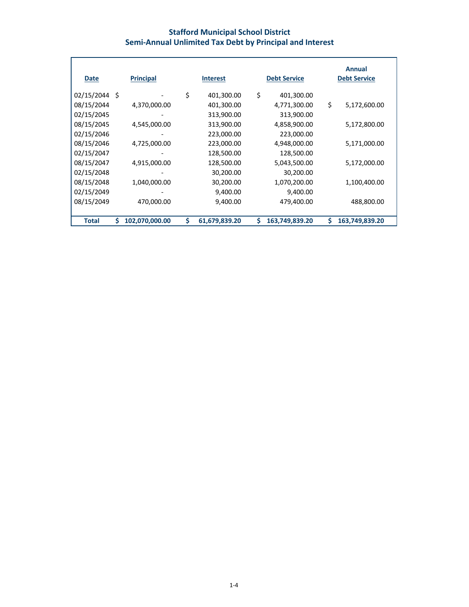## **Stafford Municipal School District Semi-Annual Unlimited Tax Debt by Principal and Interest**

| <b>Date</b>   |   | <b>Principal</b> |    | <b>Interest</b> |    | <b>Debt Service</b> |    | Annual<br><b>Debt Service</b> |
|---------------|---|------------------|----|-----------------|----|---------------------|----|-------------------------------|
| 02/15/2044 \$ |   |                  | \$ | 401,300.00      | \$ | 401,300.00          |    |                               |
| 08/15/2044    |   | 4,370,000.00     |    | 401,300.00      |    | 4,771,300.00        | \$ | 5,172,600.00                  |
| 02/15/2045    |   |                  |    | 313,900.00      |    | 313,900.00          |    |                               |
| 08/15/2045    |   | 4,545,000.00     |    | 313,900.00      |    | 4,858,900.00        |    | 5,172,800.00                  |
| 02/15/2046    |   |                  |    | 223,000.00      |    | 223,000.00          |    |                               |
| 08/15/2046    |   | 4,725,000.00     |    | 223,000.00      |    | 4,948,000.00        |    | 5,171,000.00                  |
| 02/15/2047    |   |                  |    | 128,500.00      |    | 128,500.00          |    |                               |
| 08/15/2047    |   | 4,915,000.00     |    | 128,500.00      |    | 5,043,500.00        |    | 5,172,000.00                  |
| 02/15/2048    |   |                  |    | 30,200.00       |    | 30,200.00           |    |                               |
| 08/15/2048    |   | 1,040,000.00     |    | 30,200.00       |    | 1,070,200.00        |    | 1,100,400.00                  |
| 02/15/2049    |   |                  |    | 9,400.00        |    | 9,400.00            |    |                               |
| 08/15/2049    |   | 470,000.00       |    | 9,400.00        |    | 479,400.00          |    | 488,800.00                    |
|               |   |                  |    |                 |    |                     |    |                               |
| <b>Total</b>  | Ś | 102,070,000.00   | Ś  | 61,679,839.20   | Ś  | 163,749,839.20      | S  | 163,749,839.20                |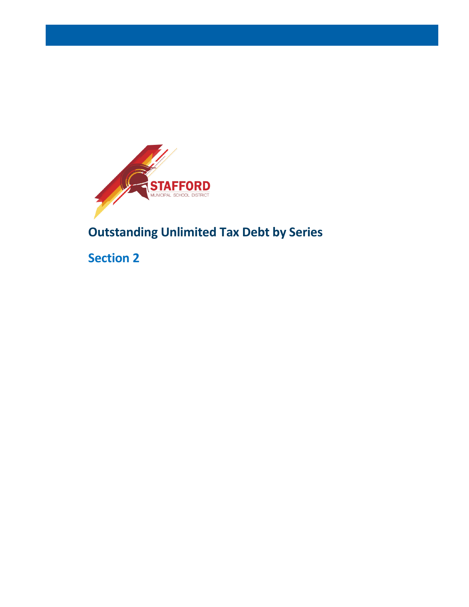

# **Outstanding Unlimited Tax Debt by Series**

**Section 2**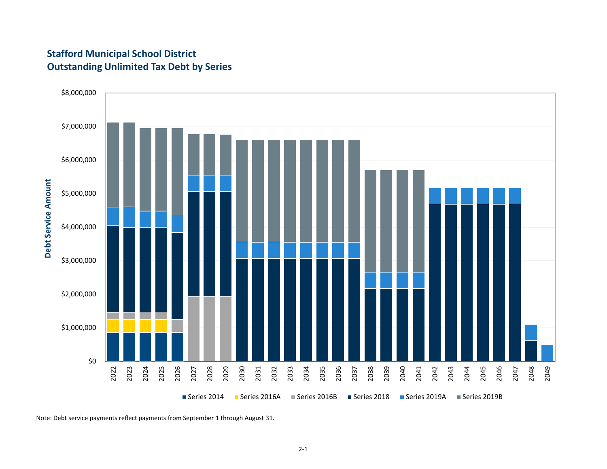# **Stafford Municipal School District Outstanding Unlimited Tax Debt by Series**



Note: Debt service payments reflect payments from September 1 through August 31.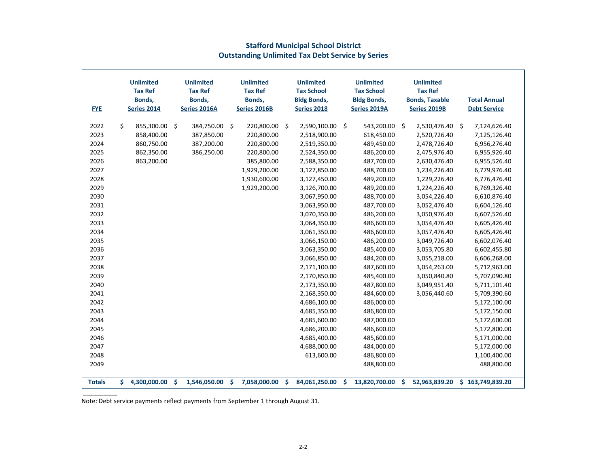| <b>FYE</b>    |    | <b>Unlimited</b><br><b>Tax Ref</b><br>Bonds,<br><b>Series 2014</b> |    | <b>Unlimited</b><br><b>Tax Ref</b><br>Bonds,<br>Series 2016A |          | <b>Unlimited</b><br><b>Tax Ref</b><br>Bonds,<br>Series 2016B |     | <b>Unlimited</b><br><b>Tax School</b><br><b>Bldg Bonds,</b><br><b>Series 2018</b> |   | <b>Unlimited</b><br><b>Tax School</b><br><b>Bldg Bonds,</b><br>Series 2019A |    | <b>Unlimited</b><br><b>Tax Ref</b><br><b>Bonds, Taxable</b><br>Series 2019B |     | <b>Total Annual</b><br><b>Debt Service</b> |
|---------------|----|--------------------------------------------------------------------|----|--------------------------------------------------------------|----------|--------------------------------------------------------------|-----|-----------------------------------------------------------------------------------|---|-----------------------------------------------------------------------------|----|-----------------------------------------------------------------------------|-----|--------------------------------------------|
| 2022          | Ŝ. | 855,300.00                                                         | \$ | 384,750.00                                                   | \$       | 220,800.00 \$                                                |     | 2,590,100.00 \$                                                                   |   | 543,200.00                                                                  | \$ | 2,530,476.40                                                                | -\$ | 7,124,626.40                               |
| 2023          |    | 858,400.00                                                         |    | 387,850.00                                                   |          | 220,800.00                                                   |     | 2,518,900.00                                                                      |   | 618,450.00                                                                  |    | 2,520,726.40                                                                |     | 7,125,126.40                               |
| 2024          |    | 860,750.00                                                         |    | 387,200.00                                                   |          | 220,800.00                                                   |     | 2,519,350.00                                                                      |   | 489,450.00                                                                  |    | 2,478,726.40                                                                |     | 6,956,276.40                               |
| 2025          |    | 862,350.00                                                         |    | 386,250.00                                                   |          | 220,800.00                                                   |     | 2,524,350.00                                                                      |   | 486,200.00                                                                  |    | 2,475,976.40                                                                |     | 6,955,926.40                               |
| 2026          |    | 863,200.00                                                         |    |                                                              |          | 385,800.00                                                   |     | 2,588,350.00                                                                      |   | 487,700.00                                                                  |    | 2,630,476.40                                                                |     | 6,955,526.40                               |
| 2027          |    |                                                                    |    |                                                              |          | 1,929,200.00                                                 |     | 3,127,850.00                                                                      |   | 488,700.00                                                                  |    | 1,234,226.40                                                                |     | 6,779,976.40                               |
| 2028          |    |                                                                    |    |                                                              |          | 1,930,600.00                                                 |     | 3,127,450.00                                                                      |   | 489,200.00                                                                  |    | 1,229,226.40                                                                |     | 6,776,476.40                               |
| 2029          |    |                                                                    |    |                                                              |          | 1,929,200.00                                                 |     | 3,126,700.00                                                                      |   | 489,200.00                                                                  |    | 1,224,226.40                                                                |     | 6,769,326.40                               |
| 2030          |    |                                                                    |    |                                                              |          |                                                              |     | 3,067,950.00                                                                      |   | 488,700.00                                                                  |    | 3,054,226.40                                                                |     | 6,610,876.40                               |
| 2031          |    |                                                                    |    |                                                              |          |                                                              |     | 3,063,950.00                                                                      |   | 487,700.00                                                                  |    | 3,052,476.40                                                                |     | 6,604,126.40                               |
| 2032          |    |                                                                    |    |                                                              |          |                                                              |     | 3,070,350.00                                                                      |   | 486,200.00                                                                  |    | 3,050,976.40                                                                |     | 6,607,526.40                               |
| 2033          |    |                                                                    |    |                                                              |          |                                                              |     | 3,064,350.00                                                                      |   | 486,600.00                                                                  |    | 3,054,476.40                                                                |     | 6,605,426.40                               |
| 2034          |    |                                                                    |    |                                                              |          |                                                              |     | 3,061,350.00                                                                      |   | 486,600.00                                                                  |    | 3,057,476.40                                                                |     | 6,605,426.40                               |
| 2035          |    |                                                                    |    |                                                              |          |                                                              |     | 3,066,150.00                                                                      |   | 486,200.00                                                                  |    | 3,049,726.40                                                                |     | 6,602,076.40                               |
| 2036          |    |                                                                    |    |                                                              |          |                                                              |     | 3,063,350.00                                                                      |   | 485,400.00                                                                  |    | 3,053,705.80                                                                |     | 6,602,455.80                               |
| 2037          |    |                                                                    |    |                                                              |          |                                                              |     | 3,066,850.00                                                                      |   | 484,200.00                                                                  |    | 3,055,218.00                                                                |     | 6,606,268.00                               |
| 2038          |    |                                                                    |    |                                                              |          |                                                              |     | 2,171,100.00                                                                      |   | 487,600.00                                                                  |    | 3,054,263.00                                                                |     | 5,712,963.00                               |
| 2039          |    |                                                                    |    |                                                              |          |                                                              |     | 2,170,850.00                                                                      |   | 485,400.00                                                                  |    | 3,050,840.80                                                                |     | 5,707,090.80                               |
| 2040          |    |                                                                    |    |                                                              |          |                                                              |     | 2,173,350.00                                                                      |   | 487,800.00                                                                  |    | 3,049,951.40                                                                |     | 5,711,101.40                               |
| 2041          |    |                                                                    |    |                                                              |          |                                                              |     | 2,168,350.00                                                                      |   | 484,600.00                                                                  |    | 3,056,440.60                                                                |     | 5,709,390.60                               |
| 2042          |    |                                                                    |    |                                                              |          |                                                              |     | 4,686,100.00                                                                      |   | 486,000.00                                                                  |    |                                                                             |     | 5,172,100.00                               |
| 2043          |    |                                                                    |    |                                                              |          |                                                              |     | 4,685,350.00                                                                      |   | 486,800.00                                                                  |    |                                                                             |     | 5,172,150.00                               |
| 2044          |    |                                                                    |    |                                                              |          |                                                              |     | 4,685,600.00                                                                      |   | 487,000.00                                                                  |    |                                                                             |     | 5,172,600.00                               |
| 2045          |    |                                                                    |    |                                                              |          |                                                              |     | 4,686,200.00                                                                      |   | 486,600.00                                                                  |    |                                                                             |     | 5,172,800.00                               |
| 2046          |    |                                                                    |    |                                                              |          |                                                              |     | 4,685,400.00                                                                      |   | 485,600.00                                                                  |    |                                                                             |     | 5,171,000.00                               |
| 2047          |    |                                                                    |    |                                                              |          |                                                              |     | 4,688,000.00                                                                      |   | 484,000.00                                                                  |    |                                                                             |     | 5,172,000.00                               |
| 2048          |    |                                                                    |    |                                                              |          |                                                              |     | 613,600.00                                                                        |   | 486,800.00                                                                  |    |                                                                             |     | 1,100,400.00                               |
| 2049          |    |                                                                    |    |                                                              |          |                                                              |     |                                                                                   |   | 488,800.00                                                                  |    |                                                                             |     | 488,800.00                                 |
| <b>Totals</b> | Š. | 4,300,000.00                                                       | Ŝ. | 1,546,050.00                                                 | <b>S</b> | 7,058,000.00                                                 | \$. | 84,061,250.00                                                                     | Ŝ | 13,820,700.00                                                               | Ŝ  | 52,963,839.20                                                               |     | \$163,749,839.20                           |

#### **Stafford Municipal School District Outstanding Unlimited Tax Debt Service by Series**

Note: Debt service payments reflect payments from September 1 through August 31.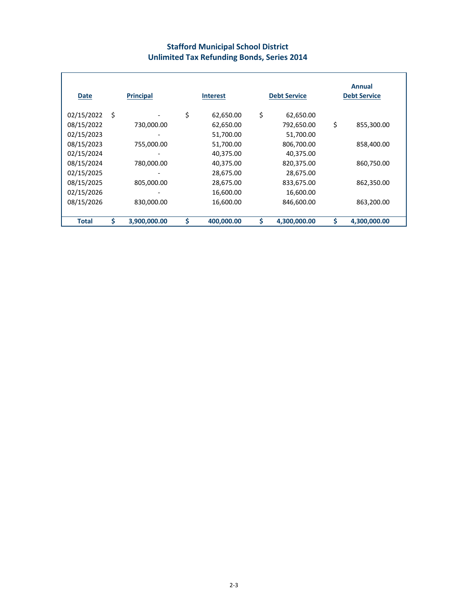## **Stafford Municipal School District Unlimited Tax Refunding Bonds, Series 2014**

| <b>Date</b>  |   | <b>Principal</b> |    | <b>Interest</b> | <b>Debt Service</b> | Annual<br><b>Debt Service</b> |
|--------------|---|------------------|----|-----------------|---------------------|-------------------------------|
| 02/15/2022   | Ś |                  | \$ | 62,650.00       | \$<br>62,650.00     |                               |
| 08/15/2022   |   | 730,000.00       |    | 62,650.00       | 792,650.00          | \$<br>855,300.00              |
| 02/15/2023   |   |                  |    | 51,700.00       | 51,700.00           |                               |
| 08/15/2023   |   | 755,000.00       |    | 51,700.00       | 806,700.00          | 858,400.00                    |
| 02/15/2024   |   |                  |    | 40,375.00       | 40,375.00           |                               |
| 08/15/2024   |   | 780,000.00       |    | 40,375.00       | 820,375.00          | 860,750.00                    |
| 02/15/2025   |   |                  |    | 28,675.00       | 28,675.00           |                               |
| 08/15/2025   |   | 805,000.00       |    | 28,675.00       | 833,675.00          | 862,350.00                    |
| 02/15/2026   |   |                  |    | 16,600.00       | 16,600.00           |                               |
| 08/15/2026   |   | 830,000.00       |    | 16,600.00       | 846,600.00          | 863,200.00                    |
|              |   |                  |    |                 |                     |                               |
| <b>Total</b> | S | 3,900,000.00     | Ś  | 400,000.00      | \$<br>4,300,000.00  | \$<br>4,300,000.00            |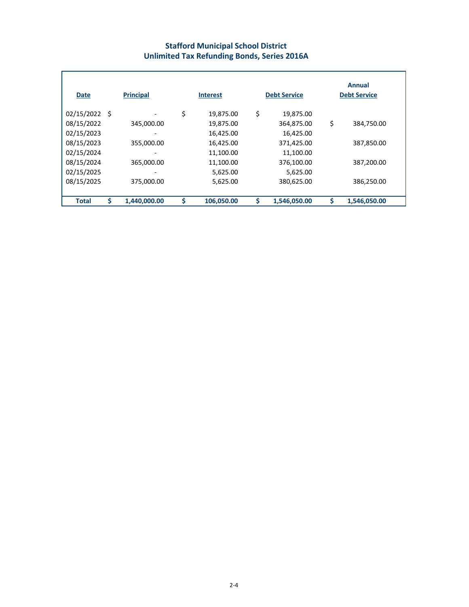#### **Stafford Municipal School District Unlimited Tax Refunding Bonds, Series 2016A**

| Date          | <b>Principal</b>   | <b>Interest</b>  | <b>Debt Service</b> | Annual<br><b>Debt Service</b> |
|---------------|--------------------|------------------|---------------------|-------------------------------|
| 02/15/2022 \$ |                    | \$<br>19,875.00  | \$<br>19,875.00     |                               |
| 08/15/2022    | 345,000.00         | 19,875.00        | 364,875.00          | \$<br>384,750.00              |
| 02/15/2023    |                    | 16,425.00        | 16,425.00           |                               |
| 08/15/2023    | 355,000.00         | 16,425.00        | 371,425.00          | 387,850.00                    |
| 02/15/2024    |                    | 11,100.00        | 11,100.00           |                               |
| 08/15/2024    | 365,000.00         | 11,100.00        | 376,100.00          | 387,200.00                    |
| 02/15/2025    |                    | 5,625.00         | 5,625.00            |                               |
| 08/15/2025    | 375,000.00         | 5,625.00         | 380,625.00          | 386,250.00                    |
| <b>Total</b>  | \$<br>1,440,000.00 | \$<br>106,050.00 | \$<br>1,546,050.00  | 1,546,050.00                  |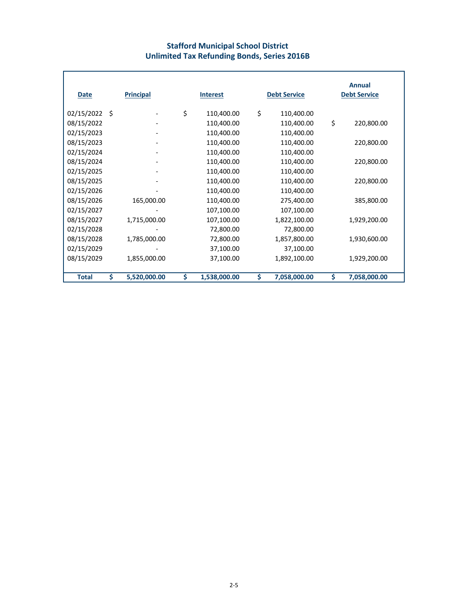#### **Stafford Municipal School District Unlimited Tax Refunding Bonds, Series 2016B**

| Date         |      | <b>Principal</b> | <b>Interest</b>    | <b>Debt Service</b> |              | <b>Annual</b><br><b>Debt Service</b> |
|--------------|------|------------------|--------------------|---------------------|--------------|--------------------------------------|
| 02/15/2022   | - \$ |                  | \$<br>110,400.00   | \$                  | 110,400.00   |                                      |
| 08/15/2022   |      |                  | 110,400.00         |                     | 110,400.00   | \$<br>220,800.00                     |
| 02/15/2023   |      |                  | 110,400.00         |                     | 110,400.00   |                                      |
| 08/15/2023   |      |                  | 110,400.00         |                     | 110,400.00   | 220,800.00                           |
| 02/15/2024   |      |                  | 110,400.00         |                     | 110,400.00   |                                      |
| 08/15/2024   |      |                  | 110,400.00         |                     | 110,400.00   | 220,800.00                           |
| 02/15/2025   |      |                  | 110,400.00         |                     | 110,400.00   |                                      |
| 08/15/2025   |      |                  | 110,400.00         |                     | 110,400.00   | 220,800.00                           |
| 02/15/2026   |      |                  | 110,400.00         |                     | 110,400.00   |                                      |
| 08/15/2026   |      | 165,000.00       | 110,400.00         |                     | 275,400.00   | 385,800.00                           |
| 02/15/2027   |      |                  | 107,100.00         |                     | 107,100.00   |                                      |
| 08/15/2027   |      | 1,715,000.00     | 107,100.00         |                     | 1,822,100.00 | 1,929,200.00                         |
| 02/15/2028   |      |                  | 72,800.00          |                     | 72,800.00    |                                      |
| 08/15/2028   |      | 1,785,000.00     | 72,800.00          |                     | 1,857,800.00 | 1,930,600.00                         |
| 02/15/2029   |      |                  | 37,100.00          |                     | 37,100.00    |                                      |
| 08/15/2029   |      | 1,855,000.00     | 37,100.00          |                     | 1,892,100.00 | 1,929,200.00                         |
|              |      |                  |                    |                     |              |                                      |
| <b>Total</b> | \$   | 5,520,000.00     | \$<br>1,538,000.00 | Ś.                  | 7,058,000.00 | \$<br>7,058,000.00                   |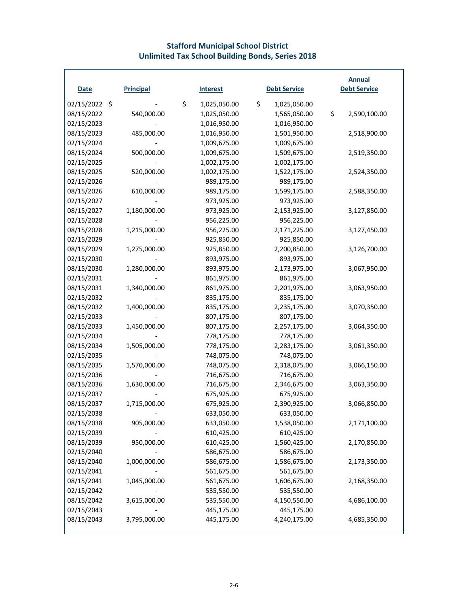#### **Stafford Municipal School District Unlimited Tax School Building Bonds, Series 2018**

| <b>Date</b>   | <b>Principal</b> | <b>Interest</b>    | <b>Debt Service</b> | <b>Annual</b><br><b>Debt Service</b> |
|---------------|------------------|--------------------|---------------------|--------------------------------------|
|               |                  |                    |                     |                                      |
| 02/15/2022 \$ |                  | \$<br>1,025,050.00 | \$<br>1,025,050.00  |                                      |
| 08/15/2022    | 540,000.00       | 1,025,050.00       | 1,565,050.00        | \$<br>2,590,100.00                   |
| 02/15/2023    |                  | 1,016,950.00       | 1,016,950.00        |                                      |
| 08/15/2023    | 485,000.00       | 1,016,950.00       | 1,501,950.00        | 2,518,900.00                         |
| 02/15/2024    |                  | 1,009,675.00       | 1,009,675.00        |                                      |
| 08/15/2024    | 500,000.00       | 1,009,675.00       | 1,509,675.00        | 2,519,350.00                         |
| 02/15/2025    |                  | 1,002,175.00       | 1,002,175.00        |                                      |
| 08/15/2025    | 520,000.00       | 1,002,175.00       | 1,522,175.00        | 2,524,350.00                         |
| 02/15/2026    |                  | 989,175.00         | 989,175.00          |                                      |
| 08/15/2026    | 610,000.00       | 989,175.00         | 1,599,175.00        | 2,588,350.00                         |
| 02/15/2027    |                  | 973,925.00         | 973,925.00          |                                      |
| 08/15/2027    | 1,180,000.00     | 973,925.00         | 2,153,925.00        | 3,127,850.00                         |
| 02/15/2028    |                  | 956,225.00         | 956,225.00          |                                      |
| 08/15/2028    | 1,215,000.00     | 956,225.00         | 2,171,225.00        | 3,127,450.00                         |
| 02/15/2029    |                  | 925,850.00         | 925,850.00          |                                      |
| 08/15/2029    | 1,275,000.00     | 925,850.00         | 2,200,850.00        | 3,126,700.00                         |
| 02/15/2030    |                  | 893,975.00         | 893,975.00          |                                      |
| 08/15/2030    | 1,280,000.00     | 893,975.00         | 2,173,975.00        | 3,067,950.00                         |
| 02/15/2031    |                  | 861,975.00         | 861,975.00          |                                      |
| 08/15/2031    | 1,340,000.00     | 861,975.00         | 2,201,975.00        | 3,063,950.00                         |
| 02/15/2032    |                  | 835,175.00         | 835,175.00          |                                      |
| 08/15/2032    | 1,400,000.00     | 835,175.00         | 2,235,175.00        | 3,070,350.00                         |
| 02/15/2033    |                  | 807,175.00         | 807,175.00          |                                      |
| 08/15/2033    | 1,450,000.00     | 807,175.00         | 2,257,175.00        | 3,064,350.00                         |
| 02/15/2034    |                  | 778,175.00         | 778,175.00          |                                      |
| 08/15/2034    | 1,505,000.00     | 778,175.00         | 2,283,175.00        | 3,061,350.00                         |
| 02/15/2035    |                  | 748,075.00         | 748,075.00          |                                      |
| 08/15/2035    | 1,570,000.00     | 748,075.00         | 2,318,075.00        | 3,066,150.00                         |
| 02/15/2036    |                  | 716,675.00         | 716,675.00          |                                      |
| 08/15/2036    | 1,630,000.00     | 716,675.00         | 2,346,675.00        | 3,063,350.00                         |
| 02/15/2037    |                  | 675,925.00         | 675,925.00          |                                      |
| 08/15/2037    | 1,715,000.00     | 675,925.00         | 2,390,925.00        | 3,066,850.00                         |
| 02/15/2038    |                  | 633,050.00         | 633,050.00          |                                      |
| 08/15/2038    | 905,000.00       | 633,050.00         | 1,538,050.00        | 2,171,100.00                         |
| 02/15/2039    |                  | 610,425.00         | 610,425.00          |                                      |
| 08/15/2039    | 950,000.00       | 610,425.00         | 1,560,425.00        | 2,170,850.00                         |
| 02/15/2040    |                  | 586,675.00         | 586,675.00          |                                      |
| 08/15/2040    | 1,000,000.00     | 586,675.00         | 1,586,675.00        | 2,173,350.00                         |
| 02/15/2041    |                  | 561,675.00         | 561,675.00          |                                      |
| 08/15/2041    | 1,045,000.00     | 561,675.00         | 1,606,675.00        | 2,168,350.00                         |
| 02/15/2042    |                  | 535,550.00         | 535,550.00          |                                      |
| 08/15/2042    | 3,615,000.00     | 535,550.00         | 4,150,550.00        | 4,686,100.00                         |
| 02/15/2043    |                  | 445,175.00         | 445,175.00          |                                      |
| 08/15/2043    | 3,795,000.00     | 445,175.00         | 4,240,175.00        | 4,685,350.00                         |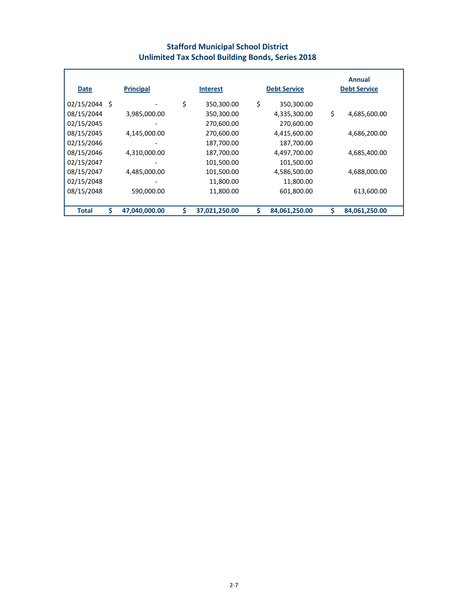## **Stafford Municipal School District Unlimited Tax School Building Bonds, Series 2018**

| <b>Date</b>   |   | <b>Principal</b>         | <b>Interest</b>     |    | <b>Debt Service</b> |    | Annual<br><b>Debt Service</b> |
|---------------|---|--------------------------|---------------------|----|---------------------|----|-------------------------------|
| 02/15/2044 \$ |   |                          | \$<br>350,300.00    | \$ | 350,300.00          |    |                               |
| 08/15/2044    |   | 3,985,000.00             | 350,300.00          |    | 4,335,300.00        | \$ | 4,685,600.00                  |
| 02/15/2045    |   | $\overline{\phantom{a}}$ | 270,600.00          |    | 270,600.00          |    |                               |
| 08/15/2045    |   | 4,145,000.00             | 270,600.00          |    | 4,415,600.00        |    | 4,686,200.00                  |
| 02/15/2046    |   |                          | 187,700.00          |    | 187,700.00          |    |                               |
| 08/15/2046    |   | 4,310,000.00             | 187,700.00          |    | 4,497,700.00        |    | 4,685,400.00                  |
| 02/15/2047    |   |                          | 101,500.00          |    | 101,500.00          |    |                               |
| 08/15/2047    |   | 4,485,000.00             | 101,500.00          |    | 4,586,500.00        |    | 4,688,000.00                  |
| 02/15/2048    |   |                          | 11,800.00           |    | 11,800.00           |    |                               |
| 08/15/2048    |   | 590,000.00               | 11,800.00           |    | 601,800.00          |    | 613,600.00                    |
|               |   |                          |                     |    |                     |    |                               |
| <b>Total</b>  | Ś | 47,040,000.00            | \$<br>37,021,250.00 | S  | 84,061,250.00       | Ś  | 84,061,250.00                 |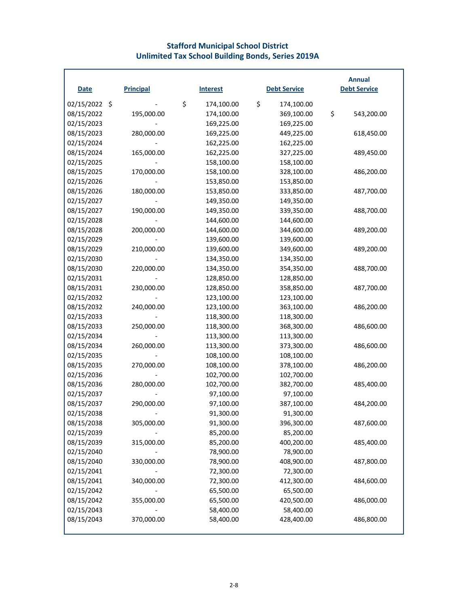#### **Stafford Municipal School District Unlimited Tax School Building Bonds, Series 2019A**

| <b>Date</b>   | <b>Principal</b> | <b>Interest</b>  | <b>Debt Service</b> | <b>Annual</b><br><b>Debt Service</b> |
|---------------|------------------|------------------|---------------------|--------------------------------------|
|               |                  |                  |                     |                                      |
| 02/15/2022 \$ |                  | \$<br>174,100.00 | \$<br>174,100.00    |                                      |
| 08/15/2022    | 195,000.00       | 174,100.00       | 369,100.00          | \$<br>543,200.00                     |
| 02/15/2023    |                  | 169,225.00       | 169,225.00          |                                      |
| 08/15/2023    | 280,000.00       | 169,225.00       | 449,225.00          | 618,450.00                           |
| 02/15/2024    |                  | 162,225.00       | 162,225.00          |                                      |
| 08/15/2024    | 165,000.00       | 162,225.00       | 327,225.00          | 489,450.00                           |
| 02/15/2025    |                  | 158,100.00       | 158,100.00          |                                      |
| 08/15/2025    | 170,000.00       | 158,100.00       | 328,100.00          | 486,200.00                           |
| 02/15/2026    |                  | 153,850.00       | 153,850.00          |                                      |
| 08/15/2026    | 180,000.00       | 153,850.00       | 333,850.00          | 487,700.00                           |
| 02/15/2027    |                  | 149,350.00       | 149,350.00          |                                      |
| 08/15/2027    | 190,000.00       | 149,350.00       | 339,350.00          | 488,700.00                           |
| 02/15/2028    |                  | 144,600.00       | 144,600.00          |                                      |
| 08/15/2028    | 200,000.00       | 144,600.00       | 344,600.00          | 489,200.00                           |
| 02/15/2029    |                  | 139,600.00       | 139,600.00          |                                      |
| 08/15/2029    | 210,000.00       | 139,600.00       | 349,600.00          | 489,200.00                           |
| 02/15/2030    |                  | 134,350.00       | 134,350.00          |                                      |
| 08/15/2030    | 220,000.00       | 134,350.00       | 354,350.00          | 488,700.00                           |
| 02/15/2031    |                  | 128,850.00       | 128,850.00          |                                      |
| 08/15/2031    | 230,000.00       | 128,850.00       | 358,850.00          | 487,700.00                           |
| 02/15/2032    |                  | 123,100.00       | 123,100.00          |                                      |
| 08/15/2032    | 240,000.00       | 123,100.00       | 363,100.00          | 486,200.00                           |
| 02/15/2033    |                  | 118,300.00       | 118,300.00          |                                      |
| 08/15/2033    | 250,000.00       | 118,300.00       | 368,300.00          | 486,600.00                           |
| 02/15/2034    |                  | 113,300.00       | 113,300.00          |                                      |
| 08/15/2034    | 260,000.00       | 113,300.00       | 373,300.00          | 486,600.00                           |
| 02/15/2035    |                  | 108,100.00       | 108,100.00          |                                      |
| 08/15/2035    | 270,000.00       | 108,100.00       | 378,100.00          | 486,200.00                           |
| 02/15/2036    |                  | 102,700.00       | 102,700.00          |                                      |
| 08/15/2036    | 280,000.00       | 102,700.00       | 382,700.00          | 485,400.00                           |
| 02/15/2037    |                  | 97,100.00        | 97,100.00           |                                      |
| 08/15/2037    | 290,000.00       | 97,100.00        | 387,100.00          | 484,200.00                           |
| 02/15/2038    |                  | 91,300.00        | 91,300.00           |                                      |
| 08/15/2038    | 305,000.00       | 91,300.00        | 396,300.00          | 487,600.00                           |
| 02/15/2039    |                  | 85,200.00        | 85,200.00           |                                      |
| 08/15/2039    | 315,000.00       | 85,200.00        | 400,200.00          | 485,400.00                           |
| 02/15/2040    |                  | 78,900.00        | 78,900.00           |                                      |
| 08/15/2040    | 330,000.00       | 78,900.00        | 408,900.00          | 487,800.00                           |
| 02/15/2041    |                  | 72,300.00        | 72,300.00           |                                      |
| 08/15/2041    | 340,000.00       | 72,300.00        | 412,300.00          | 484,600.00                           |
| 02/15/2042    |                  | 65,500.00        | 65,500.00           |                                      |
| 08/15/2042    | 355,000.00       | 65,500.00        | 420,500.00          | 486,000.00                           |
| 02/15/2043    |                  | 58,400.00        | 58,400.00           |                                      |
| 08/15/2043    | 370,000.00       | 58,400.00        | 428,400.00          | 486,800.00                           |
|               |                  |                  |                     |                                      |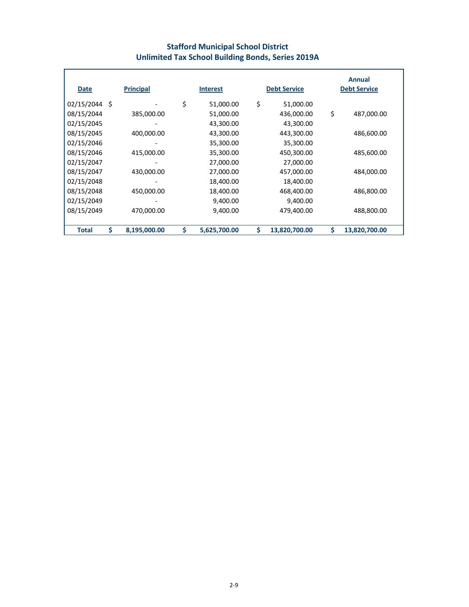## **Stafford Municipal School District Unlimited Tax School Building Bonds, Series 2019A**

| Date          | <b>Principal</b>   | <b>Interest</b>    | <b>Debt Service</b> |    | Annual<br><b>Debt Service</b> |
|---------------|--------------------|--------------------|---------------------|----|-------------------------------|
| 02/15/2044 \$ |                    | \$<br>51,000.00    | \$<br>51,000.00     |    |                               |
| 08/15/2044    | 385,000.00         | 51,000.00          | 436,000.00          | \$ | 487,000.00                    |
| 02/15/2045    |                    | 43,300.00          | 43,300.00           |    |                               |
| 08/15/2045    | 400,000.00         | 43,300.00          | 443,300.00          |    | 486,600.00                    |
| 02/15/2046    |                    | 35,300.00          | 35,300.00           |    |                               |
| 08/15/2046    | 415,000.00         | 35,300.00          | 450,300.00          |    | 485,600.00                    |
| 02/15/2047    |                    | 27,000.00          | 27,000.00           |    |                               |
| 08/15/2047    | 430,000.00         | 27,000.00          | 457,000.00          |    | 484,000.00                    |
| 02/15/2048    |                    | 18,400.00          | 18,400.00           |    |                               |
| 08/15/2048    | 450,000.00         | 18,400.00          | 468,400.00          |    | 486,800.00                    |
| 02/15/2049    |                    | 9,400.00           | 9,400.00            |    |                               |
| 08/15/2049    | 470,000.00         | 9,400.00           | 479,400.00          |    | 488,800.00                    |
|               |                    |                    |                     |    |                               |
| <b>Total</b>  | \$<br>8,195,000.00 | \$<br>5,625,700.00 | \$<br>13,820,700.00 | Ś  | 13,820,700.00                 |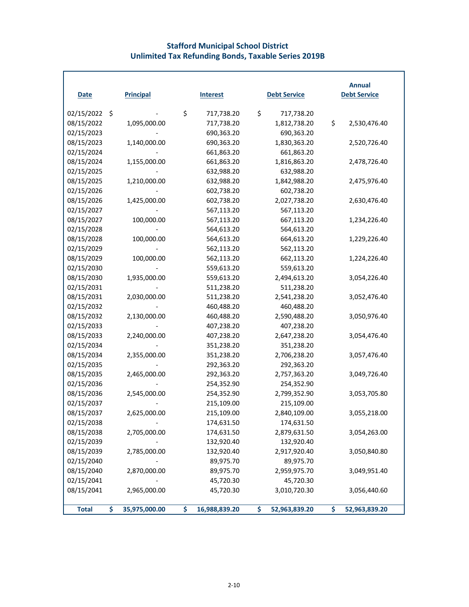## **Stafford Municipal School District Unlimited Tax Refunding Bonds, Taxable Series 2019B**

| <b>Date</b>  | <b>Principal</b>    | <b>Interest</b>     | <b>Debt Service</b> |               | <b>Annual</b><br><b>Debt Service</b> |
|--------------|---------------------|---------------------|---------------------|---------------|--------------------------------------|
| 02/15/2022   | \$                  | \$<br>717,738.20    | \$                  | 717,738.20    |                                      |
| 08/15/2022   | 1,095,000.00        | 717,738.20          |                     | 1,812,738.20  | \$<br>2,530,476.40                   |
| 02/15/2023   |                     | 690,363.20          |                     | 690,363.20    |                                      |
| 08/15/2023   | 1,140,000.00        | 690,363.20          |                     | 1,830,363.20  | 2,520,726.40                         |
| 02/15/2024   |                     | 661,863.20          |                     | 661,863.20    |                                      |
| 08/15/2024   | 1,155,000.00        | 661,863.20          |                     | 1,816,863.20  | 2,478,726.40                         |
| 02/15/2025   |                     | 632,988.20          |                     | 632,988.20    |                                      |
| 08/15/2025   | 1,210,000.00        | 632,988.20          |                     | 1,842,988.20  | 2,475,976.40                         |
| 02/15/2026   |                     | 602,738.20          |                     | 602,738.20    |                                      |
| 08/15/2026   | 1,425,000.00        | 602,738.20          |                     | 2,027,738.20  | 2,630,476.40                         |
| 02/15/2027   |                     | 567,113.20          |                     | 567,113.20    |                                      |
| 08/15/2027   | 100,000.00          | 567,113.20          |                     | 667,113.20    | 1,234,226.40                         |
| 02/15/2028   |                     | 564,613.20          |                     | 564,613.20    |                                      |
| 08/15/2028   | 100,000.00          | 564,613.20          |                     | 664,613.20    | 1,229,226.40                         |
| 02/15/2029   |                     | 562,113.20          |                     | 562,113.20    |                                      |
| 08/15/2029   | 100,000.00          | 562,113.20          |                     | 662,113.20    | 1,224,226.40                         |
| 02/15/2030   |                     | 559,613.20          |                     | 559,613.20    |                                      |
| 08/15/2030   | 1,935,000.00        | 559,613.20          |                     | 2,494,613.20  | 3,054,226.40                         |
| 02/15/2031   |                     | 511,238.20          |                     | 511,238.20    |                                      |
| 08/15/2031   | 2,030,000.00        | 511,238.20          |                     | 2,541,238.20  | 3,052,476.40                         |
| 02/15/2032   |                     | 460,488.20          |                     | 460,488.20    |                                      |
| 08/15/2032   | 2,130,000.00        | 460,488.20          |                     | 2,590,488.20  | 3,050,976.40                         |
| 02/15/2033   |                     | 407,238.20          |                     | 407,238.20    |                                      |
| 08/15/2033   | 2,240,000.00        | 407,238.20          |                     | 2,647,238.20  | 3,054,476.40                         |
| 02/15/2034   |                     | 351,238.20          |                     | 351,238.20    |                                      |
| 08/15/2034   | 2,355,000.00        | 351,238.20          |                     | 2,706,238.20  | 3,057,476.40                         |
| 02/15/2035   |                     | 292,363.20          |                     | 292,363.20    |                                      |
| 08/15/2035   | 2,465,000.00        | 292,363.20          |                     | 2,757,363.20  | 3,049,726.40                         |
| 02/15/2036   |                     | 254,352.90          |                     | 254,352.90    |                                      |
| 08/15/2036   | 2,545,000.00        | 254,352.90          |                     | 2,799,352.90  | 3,053,705.80                         |
| 02/15/2037   |                     | 215,109.00          |                     | 215,109.00    |                                      |
| 08/15/2037   | 2,625,000.00        | 215,109.00          |                     | 2,840,109.00  | 3,055,218.00                         |
| 02/15/2038   |                     | 174,631.50          |                     | 174,631.50    |                                      |
| 08/15/2038   | 2,705,000.00        | 174,631.50          |                     | 2,879,631.50  | 3,054,263.00                         |
| 02/15/2039   |                     | 132,920.40          |                     | 132,920.40    |                                      |
| 08/15/2039   | 2,785,000.00        | 132,920.40          |                     | 2,917,920.40  | 3,050,840.80                         |
| 02/15/2040   |                     | 89,975.70           |                     | 89,975.70     |                                      |
| 08/15/2040   | 2,870,000.00        | 89,975.70           |                     | 2,959,975.70  | 3,049,951.40                         |
| 02/15/2041   |                     | 45,720.30           |                     | 45,720.30     |                                      |
| 08/15/2041   | 2,965,000.00        | 45,720.30           |                     | 3,010,720.30  | 3,056,440.60                         |
| <b>Total</b> | \$<br>35,975,000.00 | \$<br>16,988,839.20 | \$                  | 52,963,839.20 | \$<br>52,963,839.20                  |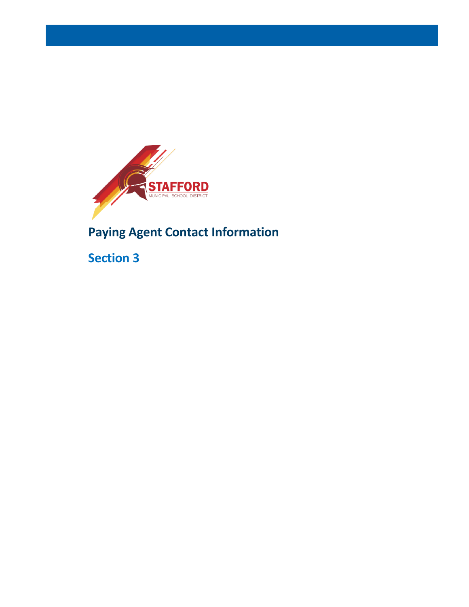

**Paying Agent Contact Information**

**Section 3**